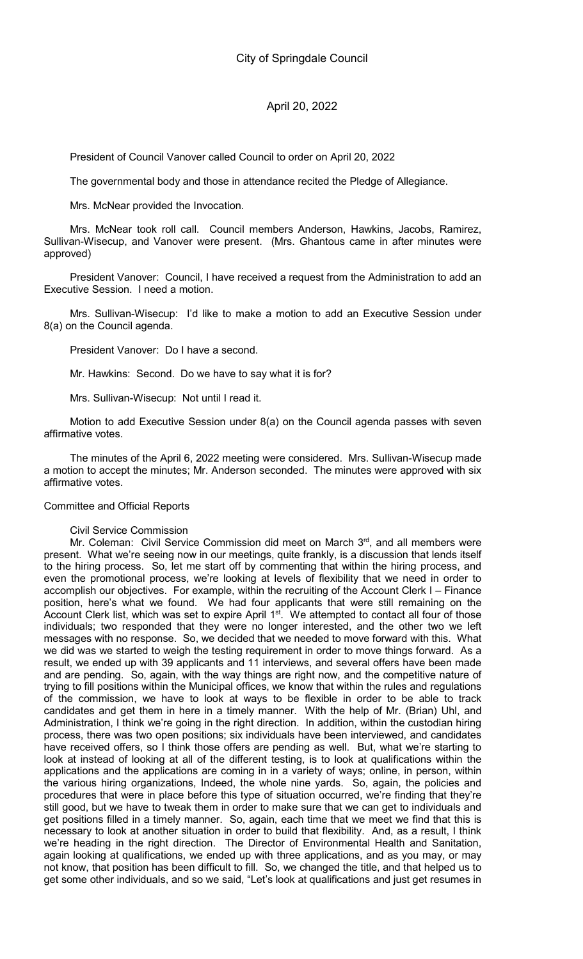President of Council Vanover called Council to order on April 20, 2022

The governmental body and those in attendance recited the Pledge of Allegiance.

Mrs. McNear provided the Invocation.

Mrs. McNear took roll call. Council members Anderson, Hawkins, Jacobs, Ramirez, Sullivan-Wisecup, and Vanover were present. (Mrs. Ghantous came in after minutes were approved)

President Vanover: Council, I have received a request from the Administration to add an Executive Session. I need a motion.

Mrs. Sullivan-Wisecup: I'd like to make a motion to add an Executive Session under 8(a) on the Council agenda.

President Vanover: Do I have a second.

Mr. Hawkins: Second. Do we have to say what it is for?

Mrs. Sullivan-Wisecup: Not until I read it.

Motion to add Executive Session under 8(a) on the Council agenda passes with seven affirmative votes.

The minutes of the April 6, 2022 meeting were considered. Mrs. Sullivan-Wisecup made a motion to accept the minutes; Mr. Anderson seconded. The minutes were approved with six affirmative votes.

#### Committee and Official Reports

#### Civil Service Commission

Mr. Coleman: Civil Service Commission did meet on March 3rd, and all members were present. What we're seeing now in our meetings, quite frankly, is a discussion that lends itself to the hiring process. So, let me start off by commenting that within the hiring process, and even the promotional process, we're looking at levels of flexibility that we need in order to accomplish our objectives. For example, within the recruiting of the Account Clerk I – Finance position, here's what we found. We had four applicants that were still remaining on the Account Clerk list, which was set to expire April 1<sup>st</sup>. We attempted to contact all four of those individuals; two responded that they were no longer interested, and the other two we left messages with no response. So, we decided that we needed to move forward with this. What we did was we started to weigh the testing requirement in order to move things forward. As a result, we ended up with 39 applicants and 11 interviews, and several offers have been made and are pending. So, again, with the way things are right now, and the competitive nature of trying to fill positions within the Municipal offices, we know that within the rules and regulations of the commission, we have to look at ways to be flexible in order to be able to track candidates and get them in here in a timely manner. With the help of Mr. (Brian) Uhl, and Administration, I think we're going in the right direction. In addition, within the custodian hiring process, there was two open positions; six individuals have been interviewed, and candidates have received offers, so I think those offers are pending as well. But, what we're starting to look at instead of looking at all of the different testing, is to look at qualifications within the applications and the applications are coming in in a variety of ways; online, in person, within the various hiring organizations, Indeed, the whole nine yards. So, again, the policies and procedures that were in place before this type of situation occurred, we're finding that they're still good, but we have to tweak them in order to make sure that we can get to individuals and get positions filled in a timely manner. So, again, each time that we meet we find that this is necessary to look at another situation in order to build that flexibility. And, as a result, I think we're heading in the right direction. The Director of Environmental Health and Sanitation, again looking at qualifications, we ended up with three applications, and as you may, or may not know, that position has been difficult to fill. So, we changed the title, and that helped us to get some other individuals, and so we said, "Let's look at qualifications and just get resumes in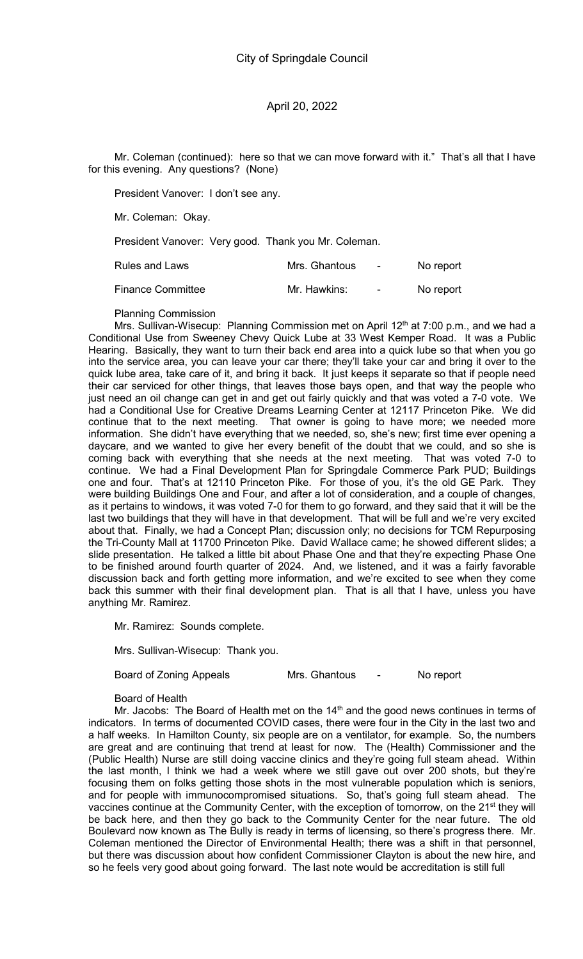Mr. Coleman (continued): here so that we can move forward with it." That's all that I have for this evening. Any questions? (None)

President Vanover: I don't see any.

Mr. Coleman: Okay.

President Vanover: Very good. Thank you Mr. Coleman.

| Rules and Laws    | Mrs. Ghantous | $\sim$   | No report |
|-------------------|---------------|----------|-----------|
| Finance Committee | Mr. Hawkins:  | <b>.</b> | No report |

Planning Commission

Mrs. Sullivan-Wisecup: Planning Commission met on April  $12<sup>th</sup>$  at  $7:00$  p.m., and we had a Conditional Use from Sweeney Chevy Quick Lube at 33 West Kemper Road. It was a Public Hearing. Basically, they want to turn their back end area into a quick lube so that when you go into the service area, you can leave your car there; they'll take your car and bring it over to the quick lube area, take care of it, and bring it back. It just keeps it separate so that if people need their car serviced for other things, that leaves those bays open, and that way the people who just need an oil change can get in and get out fairly quickly and that was voted a 7-0 vote. We had a Conditional Use for Creative Dreams Learning Center at 12117 Princeton Pike. We did continue that to the next meeting. That owner is going to have more; we needed more information. She didn't have everything that we needed, so, she's new; first time ever opening a daycare, and we wanted to give her every benefit of the doubt that we could, and so she is coming back with everything that she needs at the next meeting. That was voted 7-0 to continue. We had a Final Development Plan for Springdale Commerce Park PUD; Buildings one and four. That's at 12110 Princeton Pike. For those of you, it's the old GE Park. They were building Buildings One and Four, and after a lot of consideration, and a couple of changes, as it pertains to windows, it was voted 7-0 for them to go forward, and they said that it will be the last two buildings that they will have in that development. That will be full and we're very excited about that. Finally, we had a Concept Plan; discussion only; no decisions for TCM Repurposing the Tri-County Mall at 11700 Princeton Pike. David Wallace came; he showed different slides; a slide presentation. He talked a little bit about Phase One and that they're expecting Phase One to be finished around fourth quarter of 2024. And, we listened, and it was a fairly favorable discussion back and forth getting more information, and we're excited to see when they come back this summer with their final development plan. That is all that I have, unless you have anything Mr. Ramirez.

Mr. Ramirez: Sounds complete.

Mrs. Sullivan-Wisecup: Thank you.

Board of Zoning Appeals Mrs. Ghantous - No report

Board of Health

Mr. Jacobs: The Board of Health met on the  $14<sup>th</sup>$  and the good news continues in terms of indicators. In terms of documented COVID cases, there were four in the City in the last two and a half weeks. In Hamilton County, six people are on a ventilator, for example. So, the numbers are great and are continuing that trend at least for now. The (Health) Commissioner and the (Public Health) Nurse are still doing vaccine clinics and they're going full steam ahead. Within the last month, I think we had a week where we still gave out over 200 shots, but they're focusing them on folks getting those shots in the most vulnerable population which is seniors, and for people with immunocompromised situations. So, that's going full steam ahead. The vaccines continue at the Community Center, with the exception of tomorrow, on the 21<sup>st</sup> they will be back here, and then they go back to the Community Center for the near future. The old Boulevard now known as The Bully is ready in terms of licensing, so there's progress there. Mr. Coleman mentioned the Director of Environmental Health; there was a shift in that personnel, but there was discussion about how confident Commissioner Clayton is about the new hire, and so he feels very good about going forward. The last note would be accreditation is still full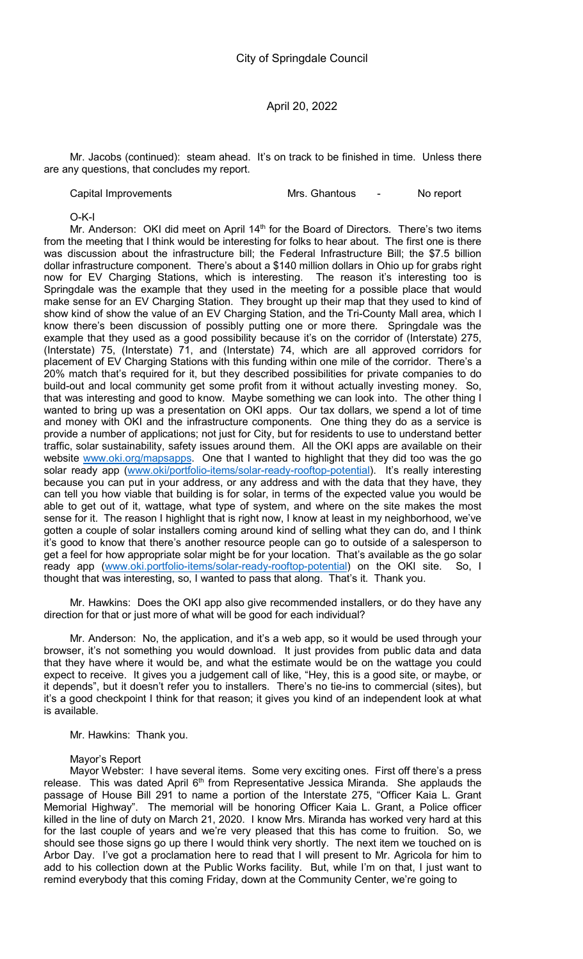Mr. Jacobs (continued): steam ahead. It's on track to be finished in time. Unless there are any questions, that concludes my report.

Capital Improvements **Mrs. Ghantous** - No report

O-K-I

Mr. Anderson: OKI did meet on April  $14<sup>th</sup>$  for the Board of Directors. There's two items from the meeting that I think would be interesting for folks to hear about. The first one is there was discussion about the infrastructure bill; the Federal Infrastructure Bill; the \$7.5 billion dollar infrastructure component. There's about a \$140 million dollars in Ohio up for grabs right now for EV Charging Stations, which is interesting. The reason it's interesting too is Springdale was the example that they used in the meeting for a possible place that would make sense for an EV Charging Station. They brought up their map that they used to kind of show kind of show the value of an EV Charging Station, and the Tri-County Mall area, which I know there's been discussion of possibly putting one or more there. Springdale was the example that they used as a good possibility because it's on the corridor of (Interstate) 275, (Interstate) 75, (Interstate) 71, and (Interstate) 74, which are all approved corridors for placement of EV Charging Stations with this funding within one mile of the corridor. There's a 20% match that's required for it, but they described possibilities for private companies to do build-out and local community get some profit from it without actually investing money. So, that was interesting and good to know. Maybe something we can look into. The other thing I wanted to bring up was a presentation on OKI apps. Our tax dollars, we spend a lot of time and money with OKI and the infrastructure components. One thing they do as a service is provide a number of applications; not just for City, but for residents to use to understand better traffic, solar sustainability, safety issues around them. All the OKI apps are available on their website www.oki.org/mapsapps. One that I wanted to highlight that they did too was the go solar ready app (www.oki/portfolio-items/solar-ready-rooftop-potential). It's really interesting because you can put in your address, or any address and with the data that they have, they can tell you how viable that building is for solar, in terms of the expected value you would be able to get out of it, wattage, what type of system, and where on the site makes the most sense for it. The reason I highlight that is right now, I know at least in my neighborhood, we've gotten a couple of solar installers coming around kind of selling what they can do, and I think it's good to know that there's another resource people can go to outside of a salesperson to get a feel for how appropriate solar might be for your location. That's available as the go solar ready app (www.oki.portfolio-items/solar-ready-rooftop-potential) on the OKI site. So, I thought that was interesting, so, I wanted to pass that along. That's it. Thank you.

Mr. Hawkins: Does the OKI app also give recommended installers, or do they have any direction for that or just more of what will be good for each individual?

Mr. Anderson: No, the application, and it's a web app, so it would be used through your browser, it's not something you would download. It just provides from public data and data that they have where it would be, and what the estimate would be on the wattage you could expect to receive. It gives you a judgement call of like, "Hey, this is a good site, or maybe, or it depends", but it doesn't refer you to installers. There's no tie-ins to commercial (sites), but it's a good checkpoint I think for that reason; it gives you kind of an independent look at what is available.

Mr. Hawkins: Thank you.

Mayor's Report

Mayor Webster: I have several items. Some very exciting ones. First off there's a press release. This was dated April 6<sup>th</sup> from Representative Jessica Miranda. She applauds the passage of House Bill 291 to name a portion of the Interstate 275, "Officer Kaia L. Grant Memorial Highway". The memorial will be honoring Officer Kaia L. Grant, a Police officer killed in the line of duty on March 21, 2020. I know Mrs. Miranda has worked very hard at this for the last couple of years and we're very pleased that this has come to fruition. So, we should see those signs go up there I would think very shortly. The next item we touched on is Arbor Day. I've got a proclamation here to read that I will present to Mr. Agricola for him to add to his collection down at the Public Works facility. But, while I'm on that, I just want to remind everybody that this coming Friday, down at the Community Center, we're going to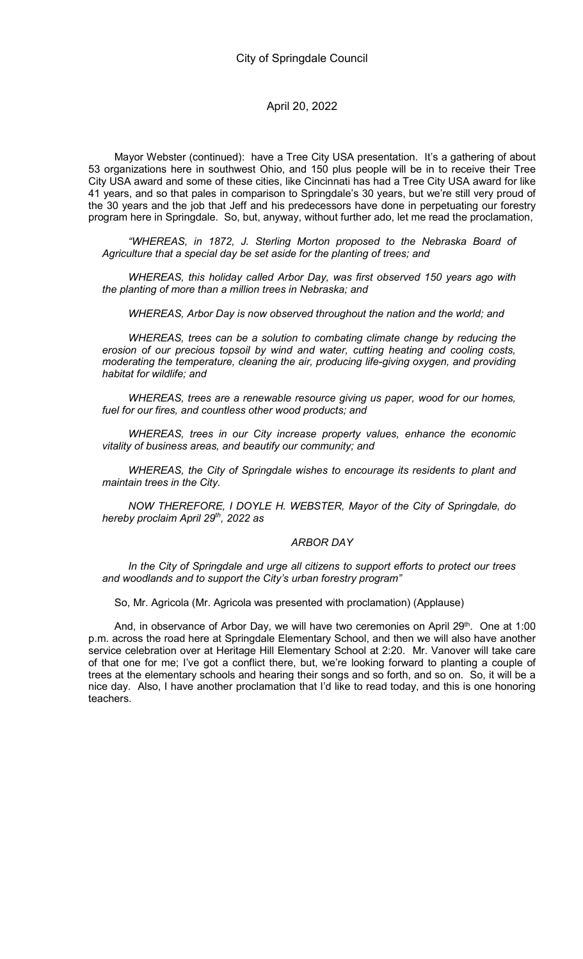Mayor Webster (continued): have a Tree City USA presentation. It's a gathering of about 53 organizations here in southwest Ohio, and 150 plus people will be in to receive their Tree City USA award and some of these cities, like Cincinnati has had a Tree City USA award for like 41 years, and so that pales in comparison to Springdale's 30 years, but we're still very proud of the 30 years and the job that Jeff and his predecessors have done in perpetuating our forestry program here in Springdale. So, but, anyway, without further ado, let me read the proclamation,

"WHEREAS, in 1872, J. Sterling Morton proposed to the Nebraska Board of Agriculture that a special day be set aside for the planting of trees; and

WHEREAS, this holiday called Arbor Day, was first observed 150 years ago with the planting of more than a million trees in Nebraska; and

WHEREAS, Arbor Day is now observed throughout the nation and the world; and

WHEREAS, trees can be a solution to combating climate change by reducing the erosion of our precious topsoil by wind and water, cutting heating and cooling costs, moderating the temperature, cleaning the air, producing life-giving oxygen, and providing habitat for wildlife; and

WHEREAS, trees are a renewable resource giving us paper, wood for our homes, fuel for our fires, and countless other wood products; and

WHEREAS, trees in our City increase property values, enhance the economic vitality of business areas, and beautify our community; and

WHEREAS, the City of Springdale wishes to encourage its residents to plant and maintain trees in the City.

NOW THEREFORE, I DOYLE H. WEBSTER, Mayor of the City of Springdale, do hereby proclaim April  $29<sup>th</sup>$ , 2022 as

#### ARBOR DAY

In the City of Springdale and urge all citizens to support efforts to protect our trees and woodlands and to support the City's urban forestry program"

So, Mr. Agricola (Mr. Agricola was presented with proclamation) (Applause)

And, in observance of Arbor Day, we will have two ceremonies on April  $29<sup>th</sup>$ . One at 1:00 p.m. across the road here at Springdale Elementary School, and then we will also have another service celebration over at Heritage Hill Elementary School at 2:20. Mr. Vanover will take care of that one for me; I've got a conflict there, but, we're looking forward to planting a couple of trees at the elementary schools and hearing their songs and so forth, and so on. So, it will be a nice day. Also, I have another proclamation that I'd like to read today, and this is one honoring teachers.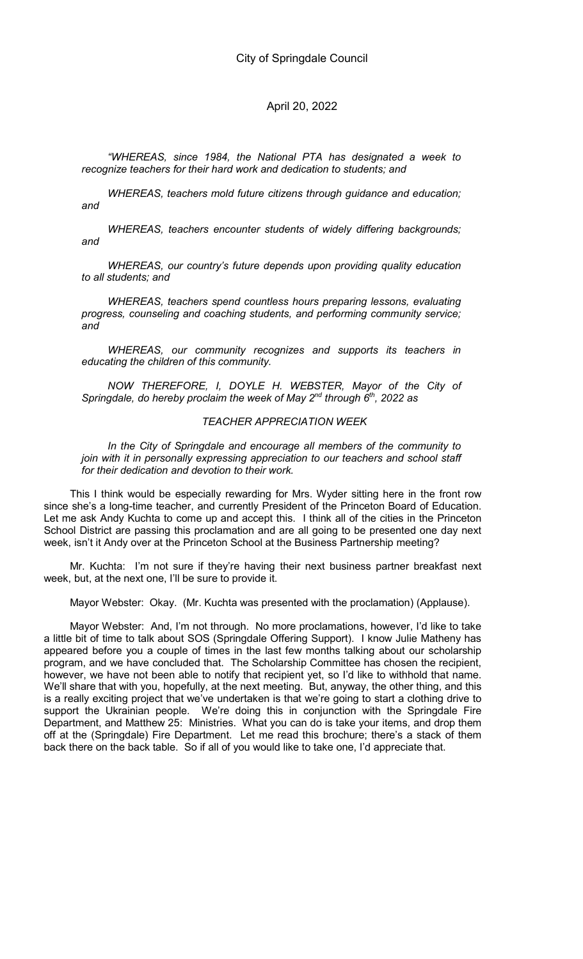"WHEREAS, since 1984, the National PTA has designated a week to recognize teachers for their hard work and dedication to students; and

WHEREAS, teachers mold future citizens through guidance and education; and

WHEREAS, teachers encounter students of widely differing backgrounds; and

WHEREAS, our country's future depends upon providing quality education to all students; and

WHEREAS, teachers spend countless hours preparing lessons, evaluating progress, counseling and coaching students, and performing community service; and

WHEREAS, our community recognizes and supports its teachers in educating the children of this community.

NOW THEREFORE, I, DOYLE H. WEBSTER, Mayor of the City of Springdale, do hereby proclaim the week of May  $2^{nd}$  through  $6^{th}$ , 2022 as

#### TEACHER APPRECIATION WEEK

In the City of Springdale and encourage all members of the community to join with it in personally expressing appreciation to our teachers and school staff for their dedication and devotion to their work.

This I think would be especially rewarding for Mrs. Wyder sitting here in the front row since she's a long-time teacher, and currently President of the Princeton Board of Education. Let me ask Andy Kuchta to come up and accept this. I think all of the cities in the Princeton School District are passing this proclamation and are all going to be presented one day next week, isn't it Andy over at the Princeton School at the Business Partnership meeting?

Mr. Kuchta: I'm not sure if they're having their next business partner breakfast next week, but, at the next one, I'll be sure to provide it.

Mayor Webster: Okay. (Mr. Kuchta was presented with the proclamation) (Applause).

Mayor Webster: And, I'm not through. No more proclamations, however, I'd like to take a little bit of time to talk about SOS (Springdale Offering Support). I know Julie Matheny has appeared before you a couple of times in the last few months talking about our scholarship program, and we have concluded that. The Scholarship Committee has chosen the recipient, however, we have not been able to notify that recipient yet, so I'd like to withhold that name. We'll share that with you, hopefully, at the next meeting. But, anyway, the other thing, and this is a really exciting project that we've undertaken is that we're going to start a clothing drive to support the Ukrainian people. We're doing this in conjunction with the Springdale Fire Department, and Matthew 25: Ministries. What you can do is take your items, and drop them off at the (Springdale) Fire Department. Let me read this brochure; there's a stack of them back there on the back table. So if all of you would like to take one, I'd appreciate that.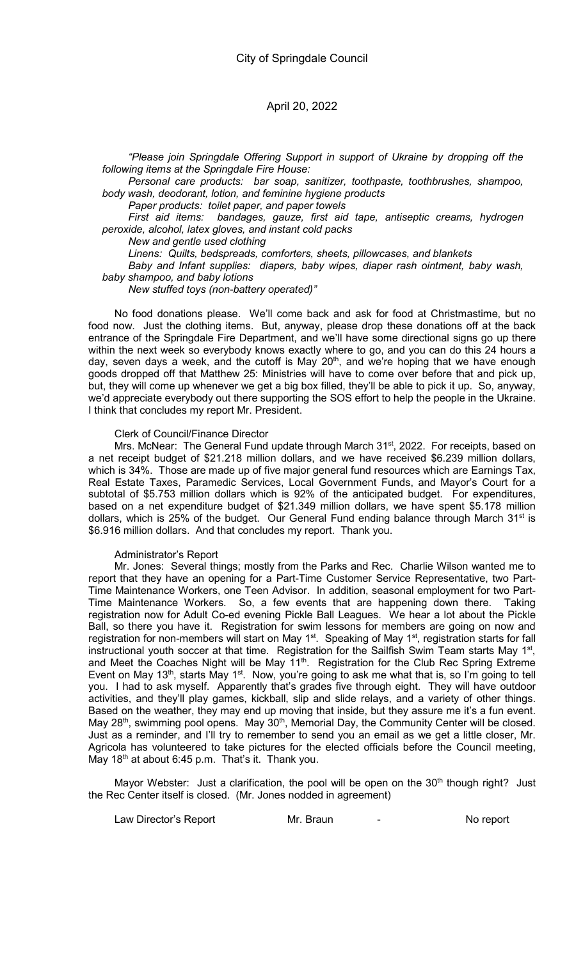"Please join Springdale Offering Support in support of Ukraine by dropping off the following items at the Springdale Fire House:

Personal care products: bar soap, sanitizer, toothpaste, toothbrushes, shampoo, body wash, deodorant, lotion, and feminine hygiene products

Paper products: toilet paper, and paper towels

First aid items: bandages, gauze, first aid tape, antiseptic creams, hydrogen peroxide, alcohol, latex gloves, and instant cold packs

New and gentle used clothing

Linens: Quilts, bedspreads, comforters, sheets, pillowcases, and blankets

Baby and Infant supplies: diapers, baby wipes, diaper rash ointment, baby wash, baby shampoo, and baby lotions

New stuffed toys (non-battery operated)"

No food donations please. We'll come back and ask for food at Christmastime, but no food now. Just the clothing items. But, anyway, please drop these donations off at the back entrance of the Springdale Fire Department, and we'll have some directional signs go up there within the next week so everybody knows exactly where to go, and you can do this 24 hours a day, seven days a week, and the cutoff is May 20<sup>th</sup>, and we're hoping that we have enough goods dropped off that Matthew 25: Ministries will have to come over before that and pick up, but, they will come up whenever we get a big box filled, they'll be able to pick it up. So, anyway, we'd appreciate everybody out there supporting the SOS effort to help the people in the Ukraine. I think that concludes my report Mr. President.

#### Clerk of Council/Finance Director

Mrs. McNear: The General Fund update through March 31<sup>st</sup>, 2022. For receipts, based on a net receipt budget of \$21.218 million dollars, and we have received \$6.239 million dollars, which is 34%. Those are made up of five major general fund resources which are Earnings Tax, Real Estate Taxes, Paramedic Services, Local Government Funds, and Mayor's Court for a subtotal of \$5.753 million dollars which is 92% of the anticipated budget. For expenditures, based on a net expenditure budget of \$21.349 million dollars, we have spent \$5.178 million dollars, which is 25% of the budget. Our General Fund ending balance through March 31<sup>st</sup> is \$6.916 million dollars. And that concludes my report. Thank you.

#### Administrator's Report

Mr. Jones: Several things; mostly from the Parks and Rec. Charlie Wilson wanted me to report that they have an opening for a Part-Time Customer Service Representative, two Part-Time Maintenance Workers, one Teen Advisor. In addition, seasonal employment for two Part-Time Maintenance Workers. So, a few events that are happening down there. Taking registration now for Adult Co-ed evening Pickle Ball Leagues. We hear a lot about the Pickle Ball, so there you have it. Registration for swim lessons for members are going on now and registration for non-members will start on May 1<sup>st</sup>. Speaking of May 1<sup>st</sup>, registration starts for fall instructional youth soccer at that time. Registration for the Sailfish Swim Team starts May 1<sup>st</sup>, and Meet the Coaches Night will be May 11<sup>th</sup>. Registration for the Club Rec Spring Extreme Event on May 13<sup>th</sup>, starts May 1<sup>st</sup>. Now, you're going to ask me what that is, so I'm going to tell you. I had to ask myself. Apparently that's grades five through eight. They will have outdoor activities, and they'll play games, kickball, slip and slide relays, and a variety of other things. Based on the weather, they may end up moving that inside, but they assure me it's a fun event. May 28<sup>th</sup>, swimming pool opens. May 30<sup>th</sup>, Memorial Day, the Community Center will be closed. Just as a reminder, and I'll try to remember to send you an email as we get a little closer, Mr. Agricola has volunteered to take pictures for the elected officials before the Council meeting, May  $18<sup>th</sup>$  at about 6:45 p.m. That's it. Thank you.

Mayor Webster: Just a clarification, the pool will be open on the 30<sup>th</sup> though right? Just the Rec Center itself is closed. (Mr. Jones nodded in agreement)

Law Director's Report **Mr. Braun** France Controller Muslem Controller Muslem No report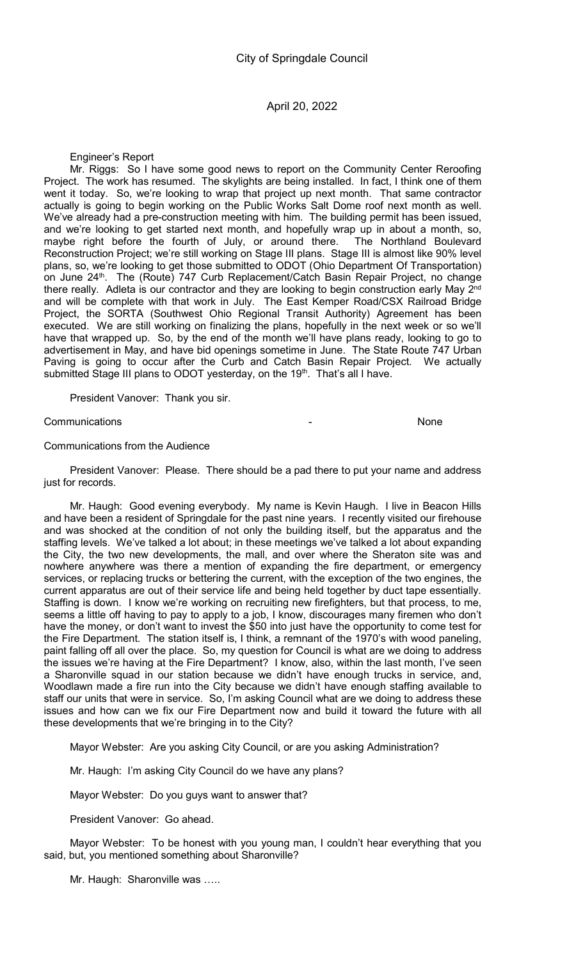Engineer's Report

Mr. Riggs: So I have some good news to report on the Community Center Reroofing Project. The work has resumed. The skylights are being installed. In fact, I think one of them went it today. So, we're looking to wrap that project up next month. That same contractor actually is going to begin working on the Public Works Salt Dome roof next month as well. We've already had a pre-construction meeting with him. The building permit has been issued, and we're looking to get started next month, and hopefully wrap up in about a month, so, maybe right before the fourth of July, or around there. The Northland Boulevard Reconstruction Project; we're still working on Stage III plans. Stage III is almost like 90% level plans, so, we're looking to get those submitted to ODOT (Ohio Department Of Transportation) on June 24<sup>th</sup>. The (Route) 747 Curb Replacement/Catch Basin Repair Project, no change there really. Adleta is our contractor and they are looking to begin construction early May 2<sup>nd</sup> and will be complete with that work in July. The East Kemper Road/CSX Railroad Bridge Project, the SORTA (Southwest Ohio Regional Transit Authority) Agreement has been executed. We are still working on finalizing the plans, hopefully in the next week or so we'll have that wrapped up. So, by the end of the month we'll have plans ready, looking to go to advertisement in May, and have bid openings sometime in June. The State Route 747 Urban Paving is going to occur after the Curb and Catch Basin Repair Project. We actually submitted Stage III plans to ODOT yesterday, on the 19<sup>th</sup>. That's all I have.

President Vanover: Thank you sir.

**Communications** None

#### Communications from the Audience

President Vanover: Please. There should be a pad there to put your name and address just for records.

Mr. Haugh: Good evening everybody. My name is Kevin Haugh. I live in Beacon Hills and have been a resident of Springdale for the past nine years. I recently visited our firehouse and was shocked at the condition of not only the building itself, but the apparatus and the staffing levels. We've talked a lot about; in these meetings we've talked a lot about expanding the City, the two new developments, the mall, and over where the Sheraton site was and nowhere anywhere was there a mention of expanding the fire department, or emergency services, or replacing trucks or bettering the current, with the exception of the two engines, the current apparatus are out of their service life and being held together by duct tape essentially. Staffing is down. I know we're working on recruiting new firefighters, but that process, to me, seems a little off having to pay to apply to a job, I know, discourages many firemen who don't have the money, or don't want to invest the \$50 into just have the opportunity to come test for the Fire Department. The station itself is, I think, a remnant of the 1970's with wood paneling, paint falling off all over the place. So, my question for Council is what are we doing to address the issues we're having at the Fire Department? I know, also, within the last month, I've seen a Sharonville squad in our station because we didn't have enough trucks in service, and, Woodlawn made a fire run into the City because we didn't have enough staffing available to staff our units that were in service. So, I'm asking Council what are we doing to address these issues and how can we fix our Fire Department now and build it toward the future with all these developments that we're bringing in to the City?

Mayor Webster: Are you asking City Council, or are you asking Administration?

Mr. Haugh: I'm asking City Council do we have any plans?

Mayor Webster: Do you guys want to answer that?

President Vanover: Go ahead.

Mayor Webster: To be honest with you young man, I couldn't hear everything that you said, but, you mentioned something about Sharonville?

Mr. Haugh: Sharonville was …..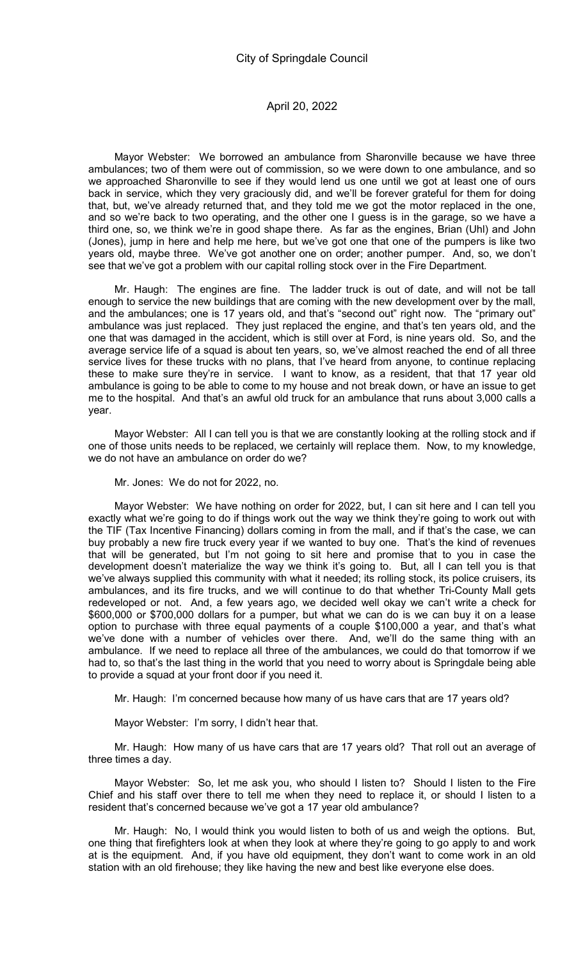Mayor Webster: We borrowed an ambulance from Sharonville because we have three ambulances; two of them were out of commission, so we were down to one ambulance, and so we approached Sharonville to see if they would lend us one until we got at least one of ours back in service, which they very graciously did, and we'll be forever grateful for them for doing that, but, we've already returned that, and they told me we got the motor replaced in the one, and so we're back to two operating, and the other one I guess is in the garage, so we have a third one, so, we think we're in good shape there. As far as the engines, Brian (Uhl) and John (Jones), jump in here and help me here, but we've got one that one of the pumpers is like two years old, maybe three. We've got another one on order; another pumper. And, so, we don't see that we've got a problem with our capital rolling stock over in the Fire Department.

Mr. Haugh: The engines are fine. The ladder truck is out of date, and will not be tall enough to service the new buildings that are coming with the new development over by the mall, and the ambulances; one is 17 years old, and that's "second out" right now. The "primary out" ambulance was just replaced. They just replaced the engine, and that's ten years old, and the one that was damaged in the accident, which is still over at Ford, is nine years old. So, and the average service life of a squad is about ten years, so, we've almost reached the end of all three service lives for these trucks with no plans, that I've heard from anyone, to continue replacing these to make sure they're in service. I want to know, as a resident, that that 17 year old ambulance is going to be able to come to my house and not break down, or have an issue to get me to the hospital. And that's an awful old truck for an ambulance that runs about 3,000 calls a year.

Mayor Webster: All I can tell you is that we are constantly looking at the rolling stock and if one of those units needs to be replaced, we certainly will replace them. Now, to my knowledge, we do not have an ambulance on order do we?

Mr. Jones: We do not for 2022, no.

Mayor Webster: We have nothing on order for 2022, but, I can sit here and I can tell you exactly what we're going to do if things work out the way we think they're going to work out with the TIF (Tax Incentive Financing) dollars coming in from the mall, and if that's the case, we can buy probably a new fire truck every year if we wanted to buy one. That's the kind of revenues that will be generated, but I'm not going to sit here and promise that to you in case the development doesn't materialize the way we think it's going to. But, all I can tell you is that we've always supplied this community with what it needed; its rolling stock, its police cruisers, its ambulances, and its fire trucks, and we will continue to do that whether Tri-County Mall gets redeveloped or not. And, a few years ago, we decided well okay we can't write a check for \$600,000 or \$700,000 dollars for a pumper, but what we can do is we can buy it on a lease option to purchase with three equal payments of a couple \$100,000 a year, and that's what we've done with a number of vehicles over there. And, we'll do the same thing with an ambulance. If we need to replace all three of the ambulances, we could do that tomorrow if we had to, so that's the last thing in the world that you need to worry about is Springdale being able to provide a squad at your front door if you need it.

Mr. Haugh: I'm concerned because how many of us have cars that are 17 years old?

Mayor Webster: I'm sorry, I didn't hear that.

Mr. Haugh: How many of us have cars that are 17 years old? That roll out an average of three times a day.

Mayor Webster: So, let me ask you, who should I listen to? Should I listen to the Fire Chief and his staff over there to tell me when they need to replace it, or should I listen to a resident that's concerned because we've got a 17 year old ambulance?

Mr. Haugh: No, I would think you would listen to both of us and weigh the options. But, one thing that firefighters look at when they look at where they're going to go apply to and work at is the equipment. And, if you have old equipment, they don't want to come work in an old station with an old firehouse; they like having the new and best like everyone else does.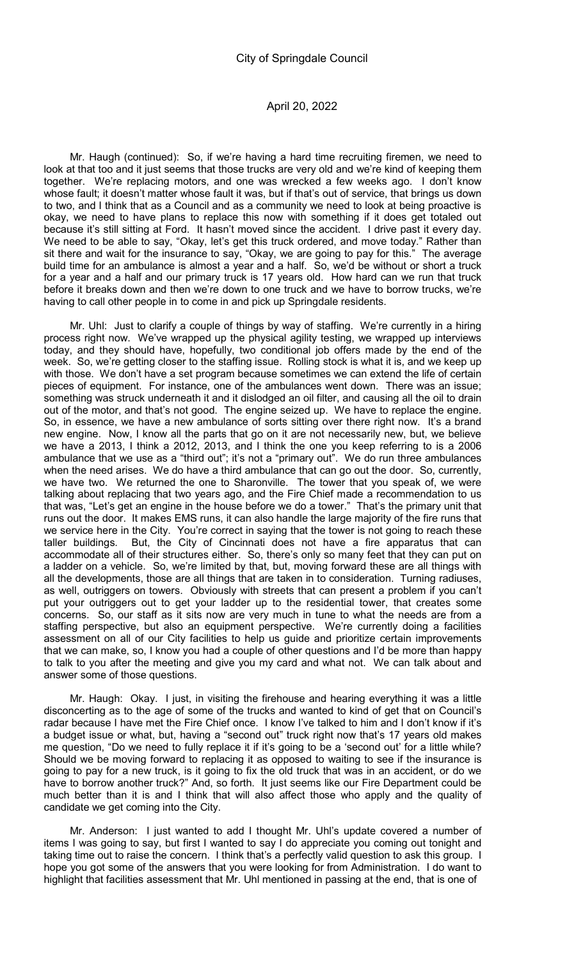Mr. Haugh (continued): So, if we're having a hard time recruiting firemen, we need to look at that too and it just seems that those trucks are very old and we're kind of keeping them together. We're replacing motors, and one was wrecked a few weeks ago. I don't know whose fault; it doesn't matter whose fault it was, but if that's out of service, that brings us down to two, and I think that as a Council and as a community we need to look at being proactive is okay, we need to have plans to replace this now with something if it does get totaled out because it's still sitting at Ford. It hasn't moved since the accident. I drive past it every day. We need to be able to say, "Okay, let's get this truck ordered, and move today." Rather than sit there and wait for the insurance to say, "Okay, we are going to pay for this." The average build time for an ambulance is almost a year and a half. So, we'd be without or short a truck for a year and a half and our primary truck is 17 years old. How hard can we run that truck before it breaks down and then we're down to one truck and we have to borrow trucks, we're having to call other people in to come in and pick up Springdale residents.

Mr. Uhl: Just to clarify a couple of things by way of staffing. We're currently in a hiring process right now. We've wrapped up the physical agility testing, we wrapped up interviews today, and they should have, hopefully, two conditional job offers made by the end of the week. So, we're getting closer to the staffing issue. Rolling stock is what it is, and we keep up with those. We don't have a set program because sometimes we can extend the life of certain pieces of equipment. For instance, one of the ambulances went down. There was an issue; something was struck underneath it and it dislodged an oil filter, and causing all the oil to drain out of the motor, and that's not good. The engine seized up. We have to replace the engine. So, in essence, we have a new ambulance of sorts sitting over there right now. It's a brand new engine. Now, I know all the parts that go on it are not necessarily new, but, we believe we have a 2013, I think a 2012, 2013, and I think the one you keep referring to is a 2006 ambulance that we use as a "third out"; it's not a "primary out". We do run three ambulances when the need arises. We do have a third ambulance that can go out the door. So, currently, we have two. We returned the one to Sharonville. The tower that you speak of, we were talking about replacing that two years ago, and the Fire Chief made a recommendation to us that was, "Let's get an engine in the house before we do a tower." That's the primary unit that runs out the door. It makes EMS runs, it can also handle the large majority of the fire runs that we service here in the City. You're correct in saying that the tower is not going to reach these taller buildings. But, the City of Cincinnati does not have a fire apparatus that can accommodate all of their structures either. So, there's only so many feet that they can put on a ladder on a vehicle. So, we're limited by that, but, moving forward these are all things with all the developments, those are all things that are taken in to consideration. Turning radiuses, as well, outriggers on towers. Obviously with streets that can present a problem if you can't put your outriggers out to get your ladder up to the residential tower, that creates some concerns. So, our staff as it sits now are very much in tune to what the needs are from a staffing perspective, but also an equipment perspective. We're currently doing a facilities assessment on all of our City facilities to help us guide and prioritize certain improvements that we can make, so, I know you had a couple of other questions and I'd be more than happy to talk to you after the meeting and give you my card and what not. We can talk about and answer some of those questions.

Mr. Haugh: Okay. I just, in visiting the firehouse and hearing everything it was a little disconcerting as to the age of some of the trucks and wanted to kind of get that on Council's radar because I have met the Fire Chief once. I know I've talked to him and I don't know if it's a budget issue or what, but, having a "second out" truck right now that's 17 years old makes me question, "Do we need to fully replace it if it's going to be a 'second out' for a little while? Should we be moving forward to replacing it as opposed to waiting to see if the insurance is going to pay for a new truck, is it going to fix the old truck that was in an accident, or do we have to borrow another truck?" And, so forth. It just seems like our Fire Department could be much better than it is and I think that will also affect those who apply and the quality of candidate we get coming into the City.

Mr. Anderson: I just wanted to add I thought Mr. Uhl's update covered a number of items I was going to say, but first I wanted to say I do appreciate you coming out tonight and taking time out to raise the concern. I think that's a perfectly valid question to ask this group. I hope you got some of the answers that you were looking for from Administration. I do want to highlight that facilities assessment that Mr. Uhl mentioned in passing at the end, that is one of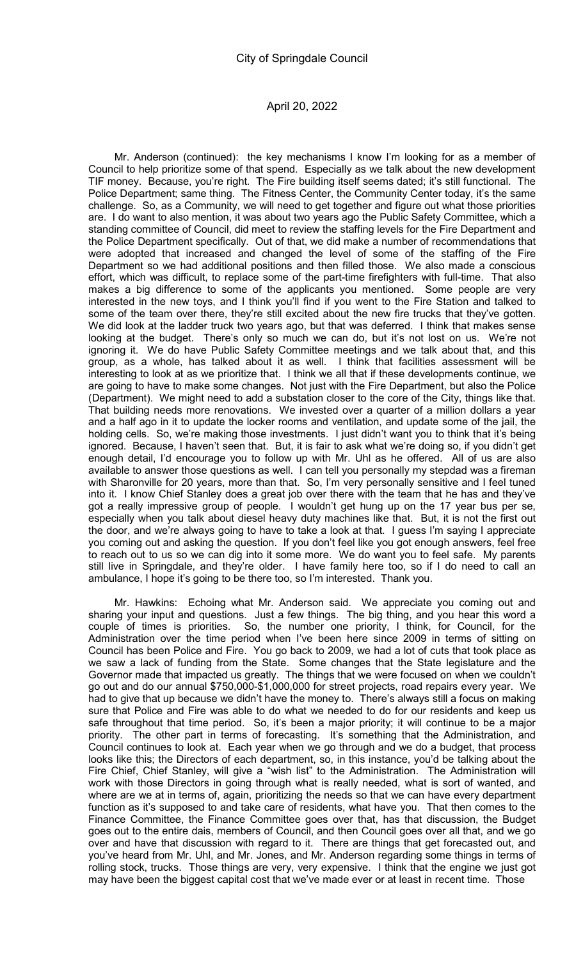Mr. Anderson (continued): the key mechanisms I know I'm looking for as a member of Council to help prioritize some of that spend. Especially as we talk about the new development TIF money. Because, you're right. The Fire building itself seems dated; it's still functional. The Police Department; same thing. The Fitness Center, the Community Center today, it's the same challenge. So, as a Community, we will need to get together and figure out what those priorities are. I do want to also mention, it was about two years ago the Public Safety Committee, which a standing committee of Council, did meet to review the staffing levels for the Fire Department and the Police Department specifically. Out of that, we did make a number of recommendations that were adopted that increased and changed the level of some of the staffing of the Fire Department so we had additional positions and then filled those. We also made a conscious effort, which was difficult, to replace some of the part-time firefighters with full-time. That also makes a big difference to some of the applicants you mentioned. Some people are very interested in the new toys, and I think you'll find if you went to the Fire Station and talked to some of the team over there, they're still excited about the new fire trucks that they've gotten. We did look at the ladder truck two years ago, but that was deferred. I think that makes sense looking at the budget. There's only so much we can do, but it's not lost on us. We're not ignoring it. We do have Public Safety Committee meetings and we talk about that, and this group, as a whole, has talked about it as well. I think that facilities assessment will be interesting to look at as we prioritize that. I think we all that if these developments continue, we are going to have to make some changes. Not just with the Fire Department, but also the Police (Department). We might need to add a substation closer to the core of the City, things like that. That building needs more renovations. We invested over a quarter of a million dollars a year and a half ago in it to update the locker rooms and ventilation, and update some of the jail, the holding cells. So, we're making those investments. I just didn't want you to think that it's being ignored. Because, I haven't seen that. But, it is fair to ask what we're doing so, if you didn't get enough detail, I'd encourage you to follow up with Mr. Uhl as he offered. All of us are also available to answer those questions as well. I can tell you personally my stepdad was a fireman with Sharonville for 20 years, more than that. So, I'm very personally sensitive and I feel tuned into it. I know Chief Stanley does a great job over there with the team that he has and they've got a really impressive group of people. I wouldn't get hung up on the 17 year bus per se, especially when you talk about diesel heavy duty machines like that. But, it is not the first out the door, and we're always going to have to take a look at that. I guess I'm saying I appreciate you coming out and asking the question. If you don't feel like you got enough answers, feel free to reach out to us so we can dig into it some more. We do want you to feel safe. My parents still live in Springdale, and they're older. I have family here too, so if I do need to call an ambulance, I hope it's going to be there too, so I'm interested. Thank you.

Mr. Hawkins: Echoing what Mr. Anderson said. We appreciate you coming out and sharing your input and questions. Just a few things. The big thing, and you hear this word a couple of times is priorities. So, the number one priority, I think, for Council, for the Administration over the time period when I've been here since 2009 in terms of sitting on Council has been Police and Fire. You go back to 2009, we had a lot of cuts that took place as we saw a lack of funding from the State. Some changes that the State legislature and the Governor made that impacted us greatly. The things that we were focused on when we couldn't go out and do our annual \$750,000-\$1,000,000 for street projects, road repairs every year. We had to give that up because we didn't have the money to. There's always still a focus on making sure that Police and Fire was able to do what we needed to do for our residents and keep us safe throughout that time period. So, it's been a major priority; it will continue to be a major priority. The other part in terms of forecasting. It's something that the Administration, and Council continues to look at. Each year when we go through and we do a budget, that process looks like this; the Directors of each department, so, in this instance, you'd be talking about the Fire Chief, Chief Stanley, will give a "wish list" to the Administration. The Administration will work with those Directors in going through what is really needed, what is sort of wanted, and where are we at in terms of, again, prioritizing the needs so that we can have every department function as it's supposed to and take care of residents, what have you. That then comes to the Finance Committee, the Finance Committee goes over that, has that discussion, the Budget goes out to the entire dais, members of Council, and then Council goes over all that, and we go over and have that discussion with regard to it. There are things that get forecasted out, and you've heard from Mr. Uhl, and Mr. Jones, and Mr. Anderson regarding some things in terms of rolling stock, trucks. Those things are very, very expensive. I think that the engine we just got may have been the biggest capital cost that we've made ever or at least in recent time. Those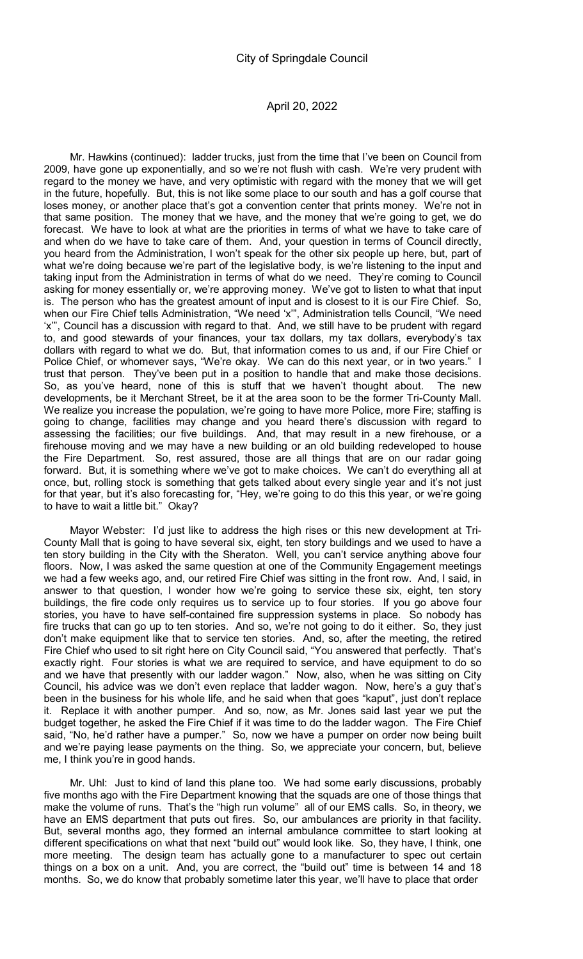Mr. Hawkins (continued): ladder trucks, just from the time that I've been on Council from 2009, have gone up exponentially, and so we're not flush with cash. We're very prudent with regard to the money we have, and very optimistic with regard with the money that we will get in the future, hopefully. But, this is not like some place to our south and has a golf course that loses money, or another place that's got a convention center that prints money. We're not in that same position. The money that we have, and the money that we're going to get, we do forecast. We have to look at what are the priorities in terms of what we have to take care of and when do we have to take care of them. And, your question in terms of Council directly, you heard from the Administration, I won't speak for the other six people up here, but, part of what we're doing because we're part of the legislative body, is we're listening to the input and taking input from the Administration in terms of what do we need. They're coming to Council asking for money essentially or, we're approving money. We've got to listen to what that input is. The person who has the greatest amount of input and is closest to it is our Fire Chief. So, when our Fire Chief tells Administration, "We need 'x'", Administration tells Council, "We need 'x'", Council has a discussion with regard to that. And, we still have to be prudent with regard to, and good stewards of your finances, your tax dollars, my tax dollars, everybody's tax dollars with regard to what we do. But, that information comes to us and, if our Fire Chief or Police Chief, or whomever says, "We're okay. We can do this next year, or in two years." I trust that person. They've been put in a position to handle that and make those decisions. So, as you've heard, none of this is stuff that we haven't thought about. The new developments, be it Merchant Street, be it at the area soon to be the former Tri-County Mall. We realize you increase the population, we're going to have more Police, more Fire; staffing is going to change, facilities may change and you heard there's discussion with regard to assessing the facilities; our five buildings. And, that may result in a new firehouse, or a firehouse moving and we may have a new building or an old building redeveloped to house the Fire Department. So, rest assured, those are all things that are on our radar going forward. But, it is something where we've got to make choices. We can't do everything all at once, but, rolling stock is something that gets talked about every single year and it's not just for that year, but it's also forecasting for, "Hey, we're going to do this this year, or we're going to have to wait a little bit." Okay?

Mayor Webster: I'd just like to address the high rises or this new development at Tri-County Mall that is going to have several six, eight, ten story buildings and we used to have a ten story building in the City with the Sheraton. Well, you can't service anything above four floors. Now, I was asked the same question at one of the Community Engagement meetings we had a few weeks ago, and, our retired Fire Chief was sitting in the front row. And, I said, in answer to that question, I wonder how we're going to service these six, eight, ten story buildings, the fire code only requires us to service up to four stories. If you go above four stories, you have to have self-contained fire suppression systems in place. So nobody has fire trucks that can go up to ten stories. And so, we're not going to do it either. So, they just don't make equipment like that to service ten stories. And, so, after the meeting, the retired Fire Chief who used to sit right here on City Council said, "You answered that perfectly. That's exactly right. Four stories is what we are required to service, and have equipment to do so and we have that presently with our ladder wagon." Now, also, when he was sitting on City Council, his advice was we don't even replace that ladder wagon. Now, here's a guy that's been in the business for his whole life, and he said when that goes "kaput", just don't replace it. Replace it with another pumper. And so, now, as Mr. Jones said last year we put the budget together, he asked the Fire Chief if it was time to do the ladder wagon. The Fire Chief said, "No, he'd rather have a pumper." So, now we have a pumper on order now being built and we're paying lease payments on the thing. So, we appreciate your concern, but, believe me, I think you're in good hands.

Mr. Uhl: Just to kind of land this plane too. We had some early discussions, probably five months ago with the Fire Department knowing that the squads are one of those things that make the volume of runs. That's the "high run volume" all of our EMS calls. So, in theory, we have an EMS department that puts out fires. So, our ambulances are priority in that facility. But, several months ago, they formed an internal ambulance committee to start looking at different specifications on what that next "build out" would look like. So, they have, I think, one more meeting. The design team has actually gone to a manufacturer to spec out certain things on a box on a unit. And, you are correct, the "build out" time is between 14 and 18 months. So, we do know that probably sometime later this year, we'll have to place that order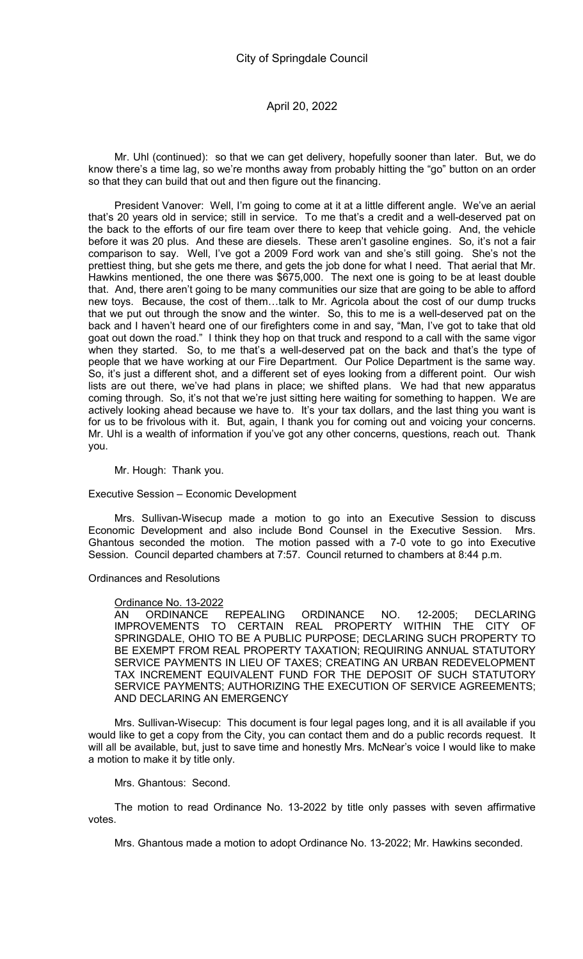Mr. Uhl (continued): so that we can get delivery, hopefully sooner than later. But, we do know there's a time lag, so we're months away from probably hitting the "go" button on an order so that they can build that out and then figure out the financing.

President Vanover: Well, I'm going to come at it at a little different angle. We've an aerial that's 20 years old in service; still in service. To me that's a credit and a well-deserved pat on the back to the efforts of our fire team over there to keep that vehicle going. And, the vehicle before it was 20 plus. And these are diesels. These aren't gasoline engines. So, it's not a fair comparison to say. Well, I've got a 2009 Ford work van and she's still going. She's not the prettiest thing, but she gets me there, and gets the job done for what I need. That aerial that Mr. Hawkins mentioned, the one there was \$675,000. The next one is going to be at least double that. And, there aren't going to be many communities our size that are going to be able to afford new toys. Because, the cost of them…talk to Mr. Agricola about the cost of our dump trucks that we put out through the snow and the winter. So, this to me is a well-deserved pat on the back and I haven't heard one of our firefighters come in and say, "Man, I've got to take that old goat out down the road." I think they hop on that truck and respond to a call with the same vigor when they started. So, to me that's a well-deserved pat on the back and that's the type of people that we have working at our Fire Department. Our Police Department is the same way. So, it's just a different shot, and a different set of eyes looking from a different point. Our wish lists are out there, we've had plans in place; we shifted plans. We had that new apparatus coming through. So, it's not that we're just sitting here waiting for something to happen. We are actively looking ahead because we have to. It's your tax dollars, and the last thing you want is for us to be frivolous with it. But, again, I thank you for coming out and voicing your concerns. Mr. Uhl is a wealth of information if you've got any other concerns, questions, reach out. Thank you.

Mr. Hough: Thank you.

Executive Session – Economic Development

Mrs. Sullivan-Wisecup made a motion to go into an Executive Session to discuss Economic Development and also include Bond Counsel in the Executive Session. Mrs. Ghantous seconded the motion. The motion passed with a 7-0 vote to go into Executive Session. Council departed chambers at 7:57. Council returned to chambers at 8:44 p.m.

Ordinances and Resolutions

### Ordinance No. 13-2022

AN ORDINANCE REPEALING ORDINANCE NO. 12-2005; DECLARING IMPROVEMENTS TO CERTAIN REAL PROPERTY WITHIN THE CITY OF SPRINGDALE, OHIO TO BE A PUBLIC PURPOSE; DECLARING SUCH PROPERTY TO BE EXEMPT FROM REAL PROPERTY TAXATION; REQUIRING ANNUAL STATUTORY SERVICE PAYMENTS IN LIEU OF TAXES; CREATING AN URBAN REDEVELOPMENT TAX INCREMENT EQUIVALENT FUND FOR THE DEPOSIT OF SUCH STATUTORY SERVICE PAYMENTS; AUTHORIZING THE EXECUTION OF SERVICE AGREEMENTS; AND DECLARING AN EMERGENCY

Mrs. Sullivan-Wisecup: This document is four legal pages long, and it is all available if you would like to get a copy from the City, you can contact them and do a public records request. It will all be available, but, just to save time and honestly Mrs. McNear's voice I would like to make a motion to make it by title only.

Mrs. Ghantous: Second.

The motion to read Ordinance No. 13-2022 by title only passes with seven affirmative votes.

Mrs. Ghantous made a motion to adopt Ordinance No. 13-2022; Mr. Hawkins seconded.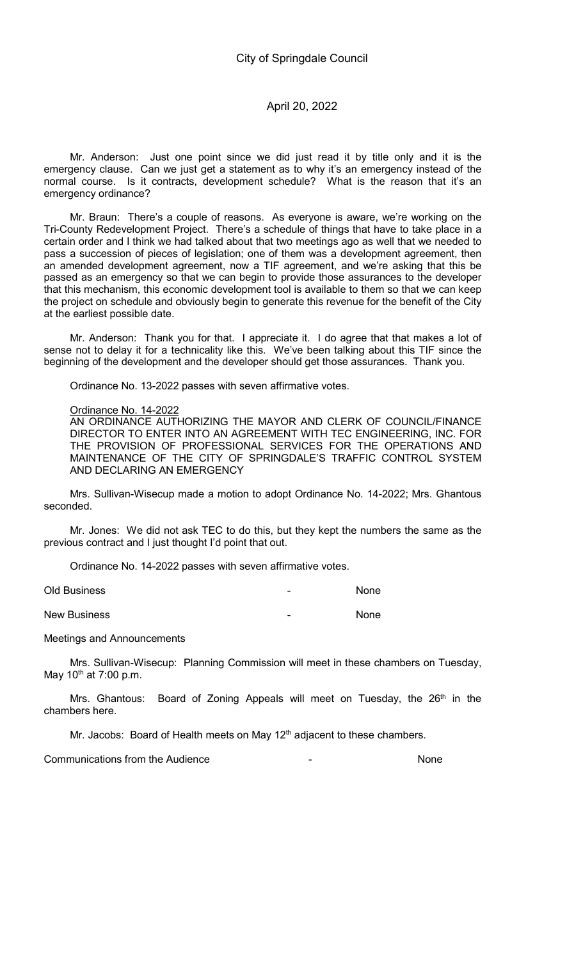Mr. Anderson: Just one point since we did just read it by title only and it is the emergency clause. Can we just get a statement as to why it's an emergency instead of the normal course. Is it contracts, development schedule? What is the reason that it's an emergency ordinance?

Mr. Braun: There's a couple of reasons. As everyone is aware, we're working on the Tri-County Redevelopment Project. There's a schedule of things that have to take place in a certain order and I think we had talked about that two meetings ago as well that we needed to pass a succession of pieces of legislation; one of them was a development agreement, then an amended development agreement, now a TIF agreement, and we're asking that this be passed as an emergency so that we can begin to provide those assurances to the developer that this mechanism, this economic development tool is available to them so that we can keep the project on schedule and obviously begin to generate this revenue for the benefit of the City at the earliest possible date.

Mr. Anderson: Thank you for that. I appreciate it. I do agree that that makes a lot of sense not to delay it for a technicality like this. We've been talking about this TIF since the beginning of the development and the developer should get those assurances. Thank you.

Ordinance No. 13-2022 passes with seven affirmative votes.

### Ordinance No. 14-2022

AN ORDINANCE AUTHORIZING THE MAYOR AND CLERK OF COUNCIL/FINANCE DIRECTOR TO ENTER INTO AN AGREEMENT WITH TEC ENGINEERING, INC. FOR THE PROVISION OF PROFESSIONAL SERVICES FOR THE OPERATIONS AND MAINTENANCE OF THE CITY OF SPRINGDALE'S TRAFFIC CONTROL SYSTEM AND DECLARING AN EMERGENCY

Mrs. Sullivan-Wisecup made a motion to adopt Ordinance No. 14-2022; Mrs. Ghantous seconded.

Mr. Jones: We did not ask TEC to do this, but they kept the numbers the same as the previous contract and I just thought I'd point that out.

Ordinance No. 14-2022 passes with seven affirmative votes.

Old Business - None New Business and the set of the set of the set of the set of the set of the set of the set of the set of the set of the set of the set of the set of the set of the set of the set of the set of the set of the set of the set

Meetings and Announcements

Mrs. Sullivan-Wisecup: Planning Commission will meet in these chambers on Tuesday, May  $10^{th}$  at 7:00 p.m.

Mrs. Ghantous: Board of Zoning Appeals will meet on Tuesday, the 26<sup>th</sup> in the chambers here.

Mr. Jacobs: Board of Health meets on May  $12<sup>th</sup>$  adjacent to these chambers.

Communications from the Audience - None